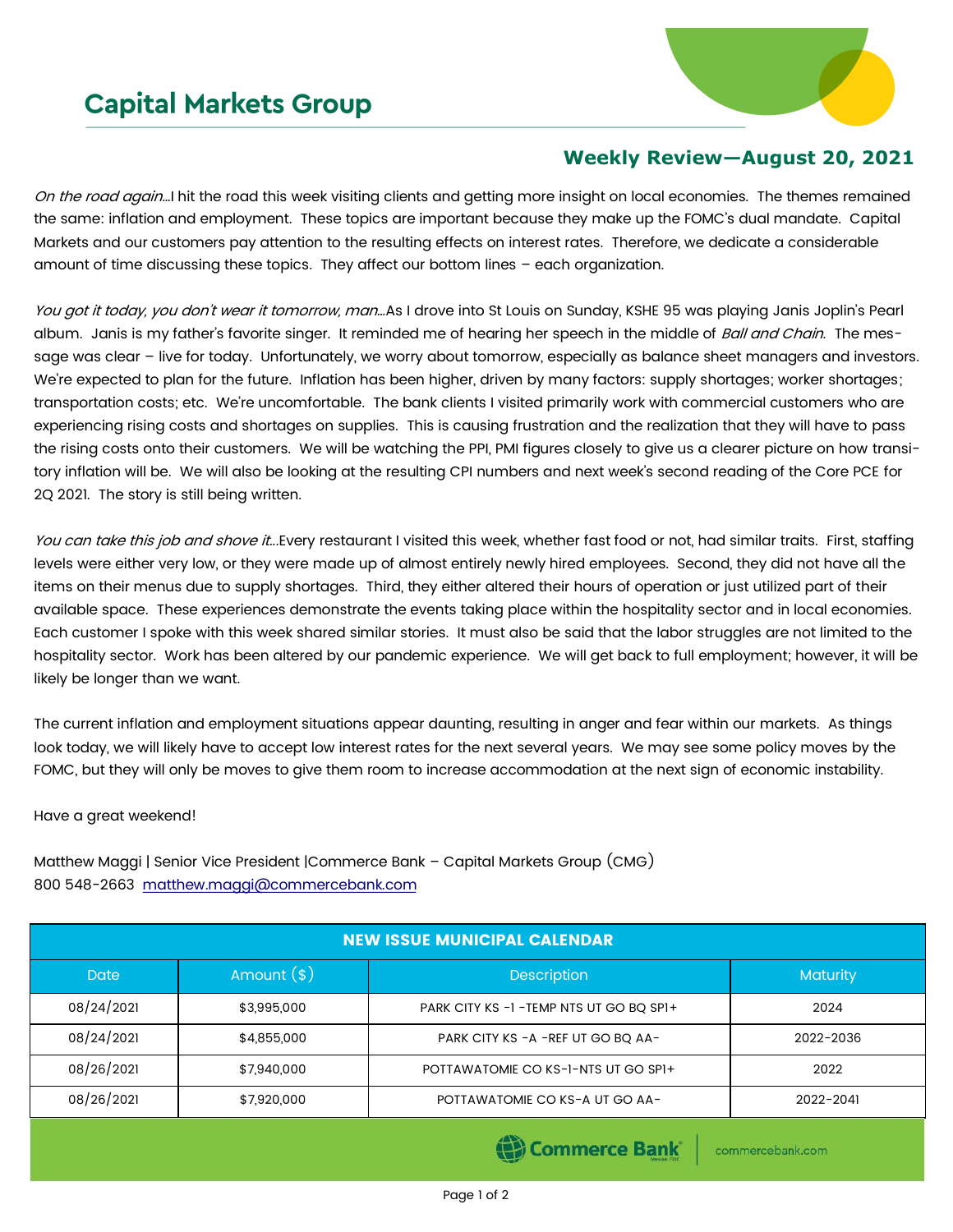## **Capital Markets Group**



## **Weekly Review—August 20, 2021**

On the road again...I hit the road this week visiting clients and getting more insight on local economies. The themes remained the same: inflation and employment. These topics are important because they make up the FOMC's dual mandate. Capital Markets and our customers pay attention to the resulting effects on interest rates. Therefore, we dedicate a considerable amount of time discussing these topics. They affect our bottom lines – each organization.

You got it today, you don't wear it tomorrow, man...As I drove into St Louis on Sunday, KSHE 95 was playing Janis Joplin's Pearl album. Janis is my father's favorite singer. It reminded me of hearing her speech in the middle of Ball and Chain. The message was clear – live for today. Unfortunately, we worry about tomorrow, especially as balance sheet managers and investors. We're expected to plan for the future. Inflation has been higher, driven by many factors: supply shortages; worker shortages; transportation costs; etc. We're uncomfortable. The bank clients I visited primarily work with commercial customers who are experiencing rising costs and shortages on supplies. This is causing frustration and the realization that they will have to pass the rising costs onto their customers. We will be watching the PPI, PMI figures closely to give us a clearer picture on how transitory inflation will be. We will also be looking at the resulting CPI numbers and next week's second reading of the Core PCE for 2Q 2021. The story is still being written.

You can take this job and shove it...Every restaurant I visited this week, whether fast food or not, had similar traits. First, staffing levels were either very low, or they were made up of almost entirely newly hired employees. Second, they did not have all the items on their menus due to supply shortages. Third, they either altered their hours of operation or just utilized part of their available space. These experiences demonstrate the events taking place within the hospitality sector and in local economies. Each customer I spoke with this week shared similar stories. It must also be said that the labor struggles are not limited to the hospitality sector. Work has been altered by our pandemic experience. We will get back to full employment; however, it will be likely be longer than we want.

The current inflation and employment situations appear daunting, resulting in anger and fear within our markets. As things look today, we will likely have to accept low interest rates for the next several years. We may see some policy moves by the FOMC, but they will only be moves to give them room to increase accommodation at the next sign of economic instability.

Have a great weekend!

Matthew Maggi | Senior Vice President |Commerce Bank – Capital Markets Group (CMG) 800 548-2663 [matthew.maggi@commercebank.com](mailto:matthew.maggi@commercebank.com)

| <b>NEW ISSUE MUNICIPAL CALENDAR</b> |              |                                          |                 |  |  |  |
|-------------------------------------|--------------|------------------------------------------|-----------------|--|--|--|
| <b>Date</b>                         | Amount $(*)$ | <b>Description</b>                       | <b>Maturity</b> |  |  |  |
| 08/24/2021                          | \$3,995,000  | PARK CITY KS -1 - TEMP NTS UT GO BQ SP1+ | 2024            |  |  |  |
| 08/24/2021                          | \$4,855,000  | PARK CITY KS -A -REF UT GO BQ AA-        | 2022-2036       |  |  |  |
| 08/26/2021                          | \$7,940,000  | POTTAWATOMIE CO KS-1-NTS UT GO SP1+      | 2022            |  |  |  |
| 08/26/2021                          | \$7,920,000  | POTTAWATOMIE CO KS-A UT GO AA-           | 2022-2041       |  |  |  |
|                                     |              |                                          |                 |  |  |  |

**(B)** Commerce Bank

commercebank.com